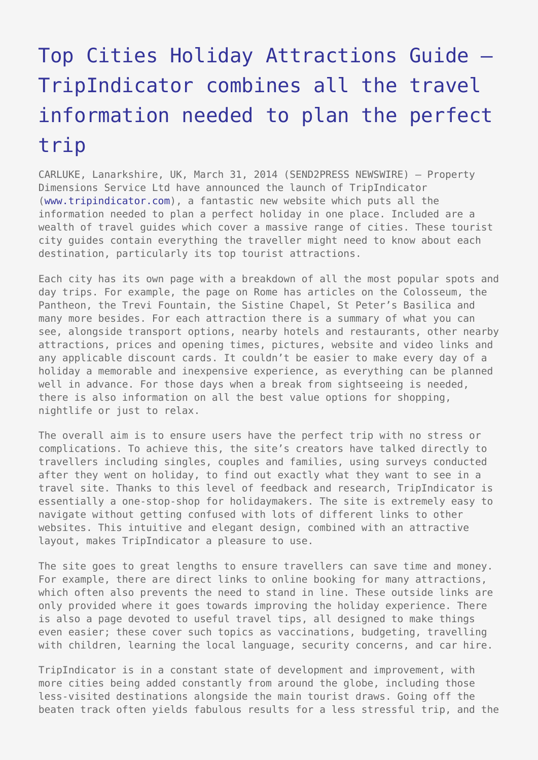## [Top Cities Holiday Attractions Guide –](https://www.send2press.com/wire/top-cities-holiday-attractions-guide-tripindicator-combines-all-the-travel-information-needed-to-plan-the-perfect-trip_2014-03-0331-001/) [TripIndicator combines all the travel](https://www.send2press.com/wire/top-cities-holiday-attractions-guide-tripindicator-combines-all-the-travel-information-needed-to-plan-the-perfect-trip_2014-03-0331-001/) [information needed to plan the perfect](https://www.send2press.com/wire/top-cities-holiday-attractions-guide-tripindicator-combines-all-the-travel-information-needed-to-plan-the-perfect-trip_2014-03-0331-001/) [trip](https://www.send2press.com/wire/top-cities-holiday-attractions-guide-tripindicator-combines-all-the-travel-information-needed-to-plan-the-perfect-trip_2014-03-0331-001/)

CARLUKE, Lanarkshire, UK, March 31, 2014 (SEND2PRESS NEWSWIRE) — Property Dimensions Service Ltd have announced the launch of TripIndicator [\(www.tripindicator.com](http://www.tripindicator.com/)), a fantastic new website which puts all the information needed to plan a perfect holiday in one place. Included are a wealth of travel guides which cover a massive range of cities. These tourist city guides contain everything the traveller might need to know about each destination, particularly its top tourist attractions.

Each city has its own page with a breakdown of all the most popular spots and day trips. For example, the page on Rome has articles on the Colosseum, the Pantheon, the Trevi Fountain, the Sistine Chapel, St Peter's Basilica and many more besides. For each attraction there is a summary of what you can see, alongside transport options, nearby hotels and restaurants, other nearby attractions, prices and opening times, pictures, website and video links and any applicable discount cards. It couldn't be easier to make every day of a holiday a memorable and inexpensive experience, as everything can be planned well in advance. For those days when a break from sightseeing is needed, there is also information on all the best value options for shopping, nightlife or just to relax.

The overall aim is to ensure users have the perfect trip with no stress or complications. To achieve this, the site's creators have talked directly to travellers including singles, couples and families, using surveys conducted after they went on holiday, to find out exactly what they want to see in a travel site. Thanks to this level of feedback and research, TripIndicator is essentially a one-stop-shop for holidaymakers. The site is extremely easy to navigate without getting confused with lots of different links to other websites. This intuitive and elegant design, combined with an attractive layout, makes TripIndicator a pleasure to use.

The site goes to great lengths to ensure travellers can save time and money. For example, there are direct links to online booking for many attractions, which often also prevents the need to stand in line. These outside links are only provided where it goes towards improving the holiday experience. There is also a page devoted to useful travel tips, all designed to make things even easier; these cover such topics as vaccinations, budgeting, travelling with children, learning the local language, security concerns, and car hire.

TripIndicator is in a constant state of development and improvement, with more cities being added constantly from around the globe, including those less-visited destinations alongside the main tourist draws. Going off the beaten track often yields fabulous results for a less stressful trip, and the